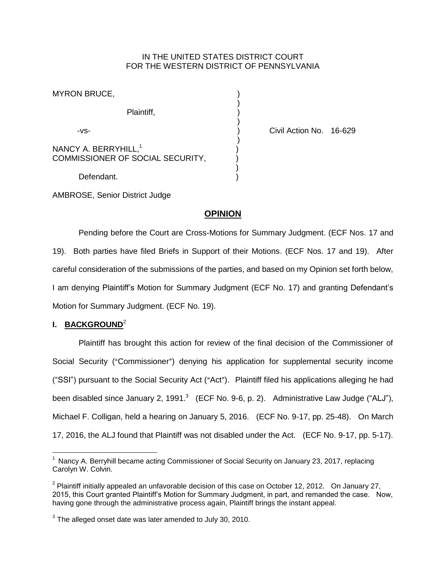## IN THE UNITED STATES DISTRICT COURT FOR THE WESTERN DISTRICT OF PENNSYLVANIA

| <b>MYRON BRUCE,</b>                                                  |  |
|----------------------------------------------------------------------|--|
| Plaintiff,                                                           |  |
| -VS-                                                                 |  |
| NANCY A. BERRYHILL, <sup>1</sup><br>COMMISSIONER OF SOCIAL SECURITY, |  |
| Defendant.                                                           |  |

Civil Action No. 16-629

AMBROSE, Senior District Judge

# **OPINION**

Pending before the Court are Cross-Motions for Summary Judgment. (ECF Nos. 17 and 19). Both parties have filed Briefs in Support of their Motions. (ECF Nos. 17 and 19). After careful consideration of the submissions of the parties, and based on my Opinion set forth below, I am denying Plaintiff's Motion for Summary Judgment (ECF No. 17) and granting Defendant's Motion for Summary Judgment. (ECF No. 19).

## **I. BACKGROUND**<sup>2</sup>

 $\overline{a}$ 

Plaintiff has brought this action for review of the final decision of the Commissioner of Social Security ("Commissioner") denying his application for supplemental security income ("SSI") pursuant to the Social Security Act ("Act"). Plaintiff filed his applications alleging he had been disabled since January 2, 1991. $^3$  (ECF No. 9-6, p. 2). Administrative Law Judge ("ALJ"), Michael F. Colligan, held a hearing on January 5, 2016. (ECF No. 9-17, pp. 25-48). On March 17, 2016, the ALJ found that Plaintiff was not disabled under the Act. (ECF No. 9-17, pp. 5-17).

 $<sup>1</sup>$  Nancy A. Berryhill became acting Commissioner of Social Security on January 23, 2017, replacing</sup> Carolyn W. Colvin.

<sup>&</sup>lt;sup>2</sup> Plaintiff initially appealed an unfavorable decision of this case on October 12, 2012. On January 27, 2015, this Court granted Plaintiff's Motion for Summary Judgment, in part, and remanded the case. Now, having gone through the administrative process again, Plaintiff brings the instant appeal.

 $3$  The alleged onset date was later amended to July 30, 2010.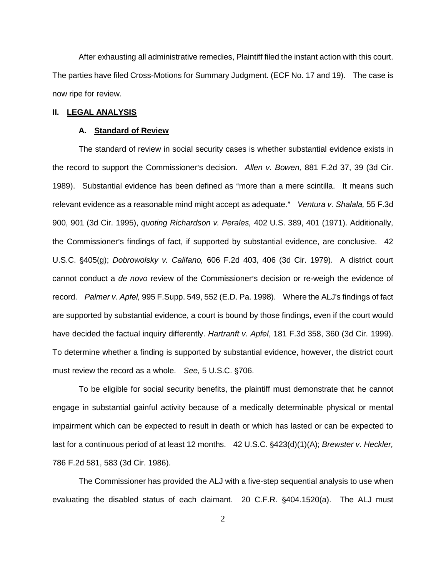After exhausting all administrative remedies, Plaintiff filed the instant action with this court. The parties have filed Cross-Motions for Summary Judgment. (ECF No. 17 and 19). The case is now ripe for review.

### **II. LEGAL ANALYSIS**

#### **A. Standard of Review**

The standard of review in social security cases is whether substantial evidence exists in the record to support the Commissioner's decision. Allen v. Bowen, 881 F.2d 37, 39 (3d Cir. 1989). Substantial evidence has been defined as "more than a mere scintilla. It means such relevant evidence as a reasonable mind might accept as adequate." Ventura v. Shalala, 55 F.3d 900, 901 (3d Cir. 1995), *quoting Richardson v. Perales,* 402 U.S. 389, 401 (1971). Additionally, the Commissioner's findings of fact, if supported by substantial evidence, are conclusive. 42 U.S.C. '405(g); *Dobrowolsky v. Califano,* 606 F.2d 403, 406 (3d Cir. 1979). A district court cannot conduct a *de novo* review of the Commissioner's decision or re-weigh the evidence of record. *Palmer v. Apfel,* 995 F.Supp. 549, 552 (E.D. Pa. 1998). Where the ALJ's findings of fact are supported by substantial evidence, a court is bound by those findings, even if the court would have decided the factual inquiry differently. *Hartranft v. Apfel*, 181 F.3d 358, 360 (3d Cir. 1999). To determine whether a finding is supported by substantial evidence, however, the district court must review the record as a whole. *See,* 5 U.S.C. §706.

To be eligible for social security benefits, the plaintiff must demonstrate that he cannot engage in substantial gainful activity because of a medically determinable physical or mental impairment which can be expected to result in death or which has lasted or can be expected to last for a continuous period of at least 12 months. 42 U.S.C. §423(d)(1)(A); *Brewster v. Heckler,* 786 F.2d 581, 583 (3d Cir. 1986).

The Commissioner has provided the ALJ with a five-step sequential analysis to use when evaluating the disabled status of each claimant. 20 C.F.R. §404.1520(a). The ALJ must

2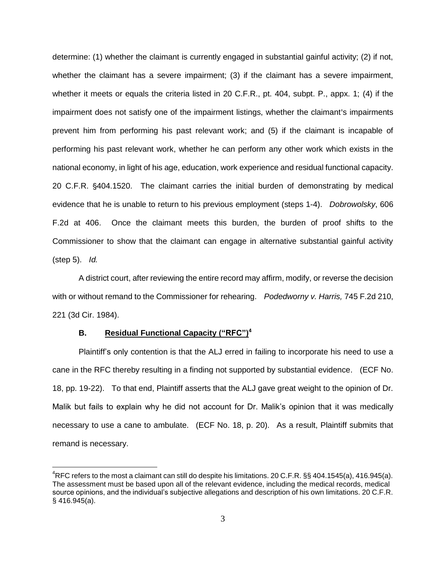determine: (1) whether the claimant is currently engaged in substantial gainful activity; (2) if not, whether the claimant has a severe impairment; (3) if the claimant has a severe impairment, whether it meets or equals the criteria listed in 20 C.F.R., pt. 404, subpt. P., appx. 1; (4) if the impairment does not satisfy one of the impairment listings, whether the claimant's impairments prevent him from performing his past relevant work; and (5) if the claimant is incapable of performing his past relevant work, whether he can perform any other work which exists in the national economy, in light of his age, education, work experience and residual functional capacity. 20 C.F.R. '404.1520. The claimant carries the initial burden of demonstrating by medical evidence that he is unable to return to his previous employment (steps 1-4). *Dobrowolsky*, 606 F.2d at 406. Once the claimant meets this burden, the burden of proof shifts to the Commissioner to show that the claimant can engage in alternative substantial gainful activity (step 5). *Id.*

A district court, after reviewing the entire record may affirm, modify, or reverse the decision with or without remand to the Commissioner for rehearing. *Podedworny v. Harris,* 745 F.2d 210, 221 (3d Cir. 1984).

### **B. Residual Functional Capacity ("RFC")<sup>4</sup>**

 $\overline{a}$ 

Plaintiff's only contention is that the ALJ erred in failing to incorporate his need to use a cane in the RFC thereby resulting in a finding not supported by substantial evidence. (ECF No. 18, pp. 19-22). To that end, Plaintiff asserts that the ALJ gave great weight to the opinion of Dr. Malik but fails to explain why he did not account for Dr. Malik's opinion that it was medically necessary to use a cane to ambulate. (ECF No. 18, p. 20). As a result, Plaintiff submits that remand is necessary.

 ${}^{4}$ RFC refers to the most a claimant can still do despite his limitations. 20 C.F.R. §§ 404.1545(a), 416.945(a). The assessment must be based upon all of the relevant evidence, including the medical records, medical source opinions, and the individual's subjective allegations and description of his own limitations. 20 C.F.R. § 416.945(a).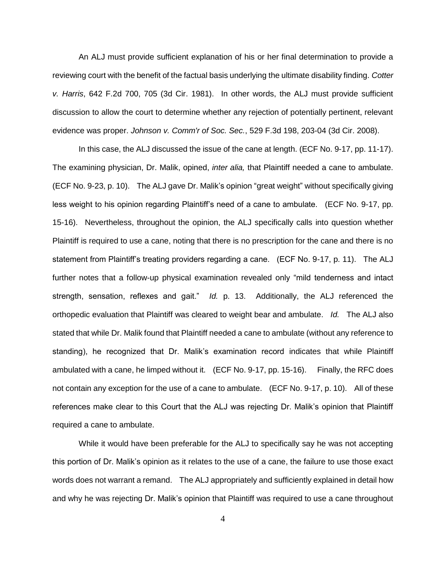An ALJ must provide sufficient explanation of his or her final determination to provide a reviewing court with the benefit of the factual basis underlying the ultimate disability finding. *Cotter v. Harris*, 642 F.2d 700, 705 (3d Cir. 1981). In other words, the ALJ must provide sufficient discussion to allow the court to determine whether any rejection of potentially pertinent, relevant evidence was proper. *Johnson v. Comm'r of Soc. Sec.*, 529 F.3d 198, 203-04 (3d Cir. 2008).

In this case, the ALJ discussed the issue of the cane at length. (ECF No. 9-17, pp. 11-17). The examining physician, Dr. Malik, opined, *inter alia,* that Plaintiff needed a cane to ambulate. (ECF No. 9-23, p. 10). The ALJ gave Dr. Malik's opinion "great weight" without specifically giving less weight to his opinion regarding Plaintiff's need of a cane to ambulate. (ECF No. 9-17, pp. 15-16). Nevertheless, throughout the opinion, the ALJ specifically calls into question whether Plaintiff is required to use a cane, noting that there is no prescription for the cane and there is no statement from Plaintiff's treating providers regarding a cane. (ECF No. 9-17, p. 11). The ALJ further notes that a follow-up physical examination revealed only "mild tenderness and intact strength, sensation, reflexes and gait." *Id.* p. 13. Additionally, the ALJ referenced the orthopedic evaluation that Plaintiff was cleared to weight bear and ambulate. *Id.* The ALJ also stated that while Dr. Malik found that Plaintiff needed a cane to ambulate (without any reference to standing), he recognized that Dr. Malik's examination record indicates that while Plaintiff ambulated with a cane, he limped without it. (ECF No. 9-17, pp. 15-16). Finally, the RFC does not contain any exception for the use of a cane to ambulate. (ECF No. 9-17, p. 10). All of these references make clear to this Court that the ALJ was rejecting Dr. Malik's opinion that Plaintiff required a cane to ambulate.

While it would have been preferable for the ALJ to specifically say he was not accepting this portion of Dr. Malik's opinion as it relates to the use of a cane, the failure to use those exact words does not warrant a remand. The ALJ appropriately and sufficiently explained in detail how and why he was rejecting Dr. Malik's opinion that Plaintiff was required to use a cane throughout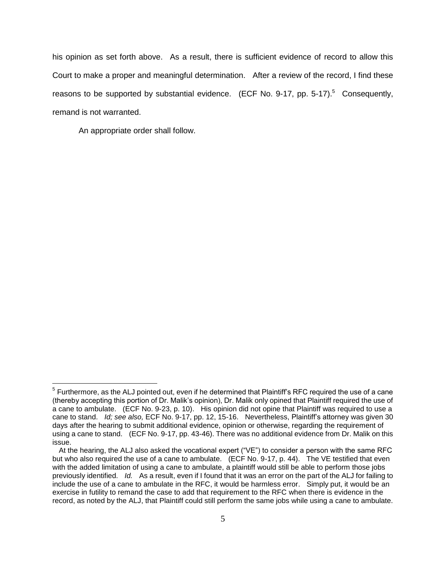his opinion as set forth above. As a result, there is sufficient evidence of record to allow this Court to make a proper and meaningful determination. After a review of the record, I find these reasons to be supported by substantial evidence. (ECF No. 9-17, pp. 5-17).<sup>5</sup> Consequently, remand is not warranted.

An appropriate order shall follow.

 $\overline{a}$ 

 $<sup>5</sup>$  Furthermore, as the ALJ pointed out, even if he determined that Plaintiff's RFC required the use of a cane</sup> (thereby accepting this portion of Dr. Malik's opinion), Dr. Malik only opined that Plaintiff required the use of a cane to ambulate. (ECF No. 9-23, p. 10). His opinion did not opine that Plaintiff was required to use a cane to stand. *Id; see also,* ECF No. 9-17, pp. 12, 15-16. Nevertheless, Plaintiff's attorney was given 30 days after the hearing to submit additional evidence, opinion or otherwise, regarding the requirement of using a cane to stand. (ECF No. 9-17, pp. 43-46). There was no additional evidence from Dr. Malik on this issue.

At the hearing, the ALJ also asked the vocational expert ("VE") to consider a person with the same RFC but who also required the use of a cane to ambulate. (ECF No. 9-17, p. 44). The VE testified that even with the added limitation of using a cane to ambulate, a plaintiff would still be able to perform those jobs previously identified. *Id.* As a result, even if I found that it was an error on the part of the ALJ for failing to include the use of a cane to ambulate in the RFC, it would be harmless error. Simply put, it would be an exercise in futility to remand the case to add that requirement to the RFC when there is evidence in the record, as noted by the ALJ, that Plaintiff could still perform the same jobs while using a cane to ambulate.